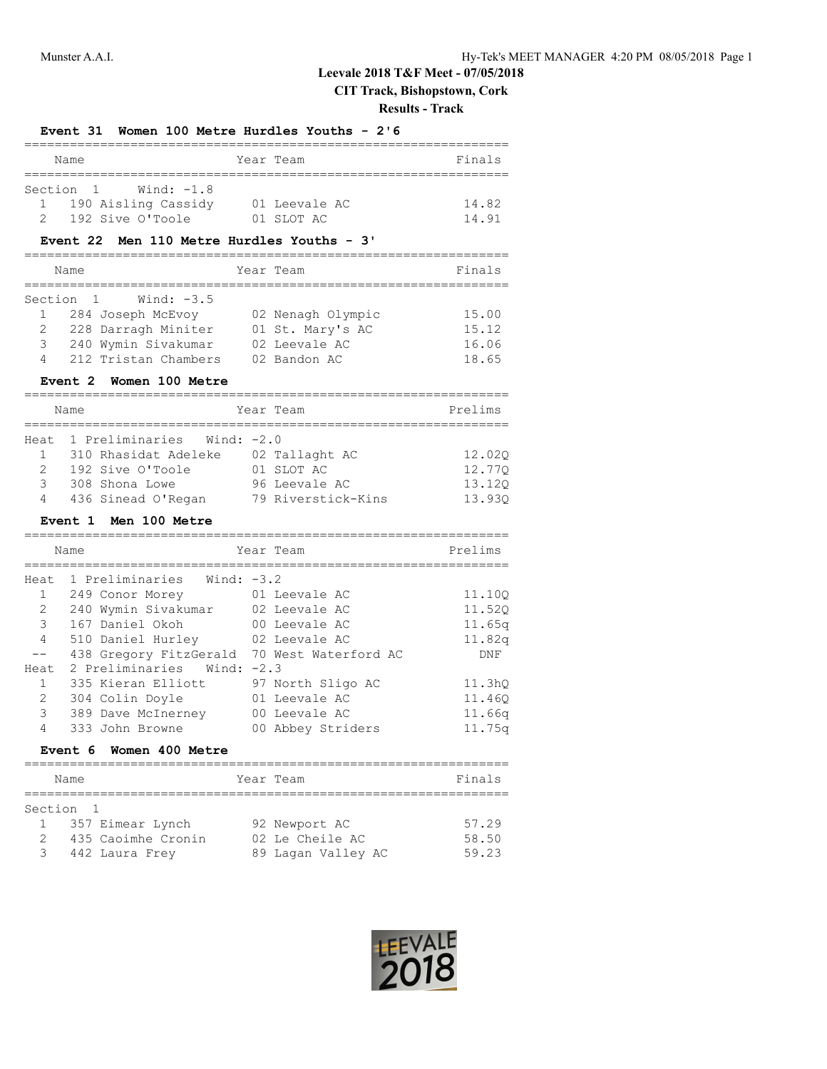# **Leevale 2018 T&F Meet - 07/05/2018**

# **CIT Track, Bishopstown, Cork**

**Results - Track**

|                       |                                               |                                  | INGSUILS - TEACN                |
|-----------------------|-----------------------------------------------|----------------------------------|---------------------------------|
|                       | Event 31 Women 100 Metre Hurdles Youths - 2'6 |                                  |                                 |
|                       | Name                                          | Year Team                        | Finals                          |
|                       | Wind: -1.8<br>Section 1                       |                                  |                                 |
| $1 \quad$             | 190 Aisling Cassidy 01 Leevale AC             |                                  | 14.82                           |
| $2^{\sim}$            | 192 Sive O'Toole                              | 01 SLOT AC                       | 14.91                           |
|                       | Event 22 Men 110 Metre Hurdles Youths - 3'    |                                  |                                 |
|                       | Name                                          | Year Team                        | Finals<br>_____________________ |
| Section               | Wind: $-3.5$<br>1                             |                                  |                                 |
| $\mathbf{1}$          | 284 Joseph McEvoy                             | 02 Nenagh Olympic                | 15.00                           |
| 2                     | 228 Darragh Miniter                           | 01 St. Mary's AC                 | 15.12                           |
| 3                     | 240 Wymin Sivakumar                           | 02 Leevale AC                    | 16.06                           |
| 4                     | 212 Tristan Chambers                          | 02 Bandon AC                     | 18.65                           |
|                       | <b>Women 100 Metre</b><br>Event 2             |                                  |                                 |
|                       | Name                                          | Year Team                        | Prelims                         |
|                       | Heat 1 Preliminaries Wind: -2.0               |                                  |                                 |
| $1 \quad$             | 310 Rhasidat Adeleke 02 Tallaght AC           |                                  |                                 |
|                       | 2 192 Sive O'Toole 01 SLOT AC                 |                                  | 12.02Q                          |
| 3                     | 308 Shona Lowe                                | 96 Leevale AC                    | 12.77Q<br>13.12Q                |
| 4                     | 436 Sinead O'Regan 79 Riverstick-Kins         |                                  | 13.93Q                          |
|                       | Event 1 Men 100 Metre                         |                                  |                                 |
|                       | Name                                          | Year Team                        | Prelims                         |
|                       |                                               |                                  |                                 |
| 1                     | Heat 1 Preliminaries Wind: -3.2               |                                  |                                 |
| $\mathbf{2}^{\prime}$ | 249 Conor Morey                               | 01 Leevale AC<br>02 Leevale AC   | 11.10Q                          |
| 3                     | 240 Wymin Sivakumar<br>167 Daniel Okoh        |                                  | 11.520                          |
| 4                     | 510 Daniel Hurley 02 Leevale AC               | 00 Leevale AC                    | 11.65q                          |
| $--$                  | 438 Gregory FitzGerald 70 West Waterford AC   |                                  | 11.82q<br>DNF                   |
| Heat                  | 2 Preliminaries Wind: -2.3                    |                                  |                                 |
| 1                     | 335 Kieran Elliott 97 North Sligo AC          |                                  | 11.3 <sub>hQ</sub>              |
| 2                     | 304 Colin Doyle                               | 01 Leevale AC                    | 11.460                          |
| 3                     | 389 Dave McInerney 00 Leevale AC              |                                  | 11.66q                          |
| 4                     | 333 John Browne                               | 00 Abbey Striders                | 11.75q                          |
|                       | Event 6<br>Women 400 Metre                    |                                  |                                 |
|                       | Name                                          | Year Team                        | Finals                          |
|                       |                                               |                                  |                                 |
| Section<br>1          | 1<br>357 Eimear Lynch                         |                                  | 57.29                           |
| 2                     | 435 Caoimhe Cronin                            | 92 Newport AC<br>02 Le Cheile AC | 58.50                           |
| 3                     |                                               |                                  | 59.23                           |
|                       | 442 Laura Frey                                | 89 Lagan Valley AC               |                                 |

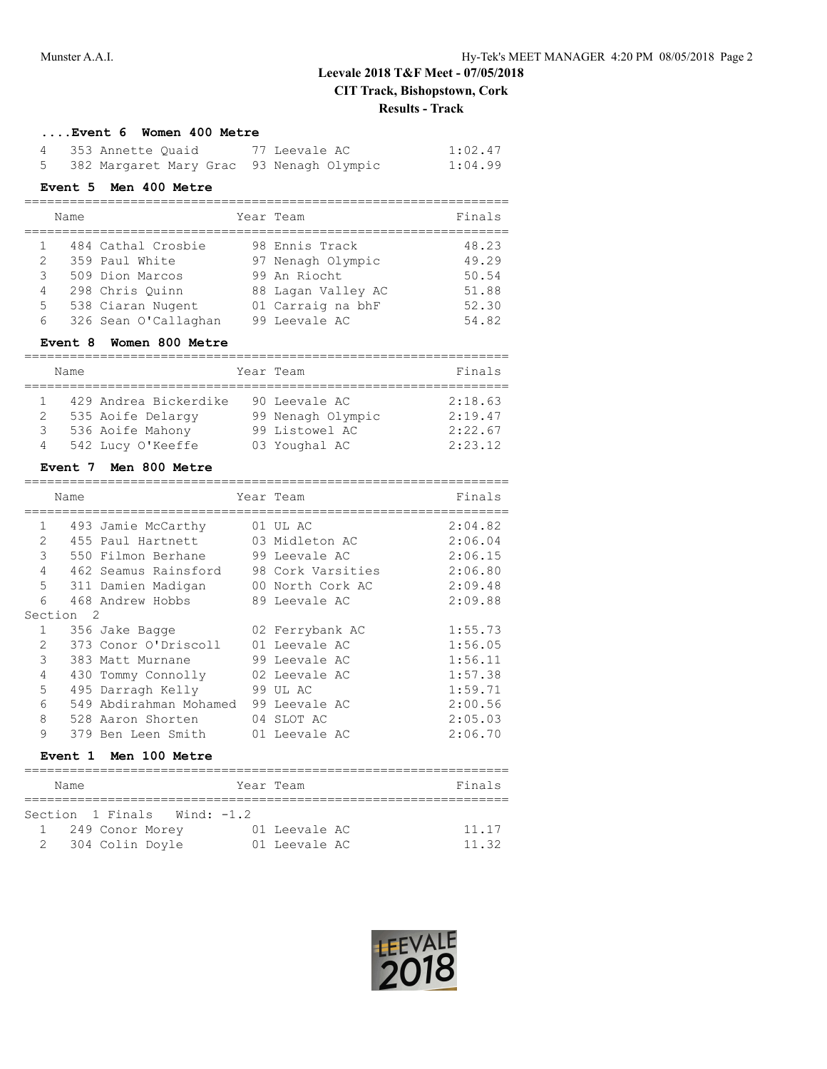# **Leevale 2018 T&F Meet - 07/05/2018 CIT Track, Bishopstown, Cork Results - Track**

### **....Event 6 Women 400 Metre**

| 4 353 Annette Quaid                        | 77 Leevale AC | 1:02.47 |
|--------------------------------------------|---------------|---------|
| 5 382 Margaret Mary Grac 93 Nenagh Olympic |               | 1:04.99 |

## **Event 5 Men 400 Metre**

|   | Name |                      | Year Team          | Finals |
|---|------|----------------------|--------------------|--------|
|   |      | 484 Cathal Crosbie   | 98 Ennis Track     | 48.23  |
| 2 |      | 359 Paul White       | 97 Nenagh Olympic  | 49.29  |
| 3 |      | 509 Dion Marcos      | 99 An Riocht       | 50.54  |
| 4 |      | 298 Chris Ouinn      | 88 Lagan Valley AC | 51.88  |
| 5 |      | 538 Ciaran Nugent    | 01 Carraig na bhF  | 52.30  |
| 6 |      | 326 Sean O'Callaghan | 99 Leevale AC      | 54.82  |

### **Event 8 Women 800 Metre**

|   | Name |                       | Year Team |                   | Finals  |
|---|------|-----------------------|-----------|-------------------|---------|
|   |      |                       |           |                   |         |
|   |      | 429 Andrea Bickerdike |           | 90 Leevale AC     | 2:18.63 |
| 2 |      | 535 Aoife Delargy     |           | 99 Nenagh Olympic | 2:19.47 |
| 3 |      | 536 Aoife Mahony      |           | 99 Listowel AC    | 2:22.67 |
| 4 |      | 542 Lucy O'Keeffe     |           | 03 Youghal AC     | 2:23.12 |

### **Event 7 Men 800 Metre**

|                | Name           |                        | Year Team |                   | Finals  |
|----------------|----------------|------------------------|-----------|-------------------|---------|
| $\mathbf{1}$   |                | 493 Jamie McCarthy     |           | 01 UL AC          | 2:04.82 |
| 2              |                | 455 Paul Hartnett      |           | 03 Midleton AC    | 2:06.04 |
| 3              |                | 550 Filmon Berhane     |           | 99 Leevale AC     | 2:06.15 |
| 4              |                | 462 Seamus Rainsford   |           | 98 Cork Varsities | 2:06.80 |
| 5              |                | 311 Damien Madigan     |           | 00 North Cork AC  | 2:09.48 |
| 6              |                | 468 Andrew Hobbs       |           | 89 Leevale AC     | 2:09.88 |
|                | Section<br>- 2 |                        |           |                   |         |
| $\mathbf{1}$   |                | 356 Jake Bagge         |           | 02 Ferrybank AC   | 1:55.73 |
| 2              |                | 373 Conor O'Driscoll   |           | 01 Leevale AC     | 1:56.05 |
| 3              |                | 383 Matt Murnane       |           | 99 Leevale AC     | 1:56.11 |
| $\overline{4}$ |                | 430 Tommy Connolly     |           | 02 Leevale AC     | 1:57.38 |
| 5              |                | 495 Darragh Kelly      |           | 99 UL AC          | 1:59.71 |
| 6              |                | 549 Abdirahman Mohamed |           | 99 Leevale AC     | 2:00.56 |
| 8              |                | 528 Aaron Shorten      |           | 04 SLOT AC        | 2:05.03 |
| 9              |                | 379 Ben Leen Smith     |           | 01 Leevale AC     | 2:06.70 |
|                |                |                        |           |                   |         |

## **Event 1 Men 100 Metre**

| Name                        |  | Year Team     | Finals |  |  |
|-----------------------------|--|---------------|--------|--|--|
|                             |  |               |        |  |  |
| Section 1 Finals Wind: -1.2 |  |               |        |  |  |
| 249 Conor Morey             |  | 01 Leevale AC | 11.17  |  |  |
| 2 304 Colin Doyle           |  | 01 Leevale AC | 11.32  |  |  |

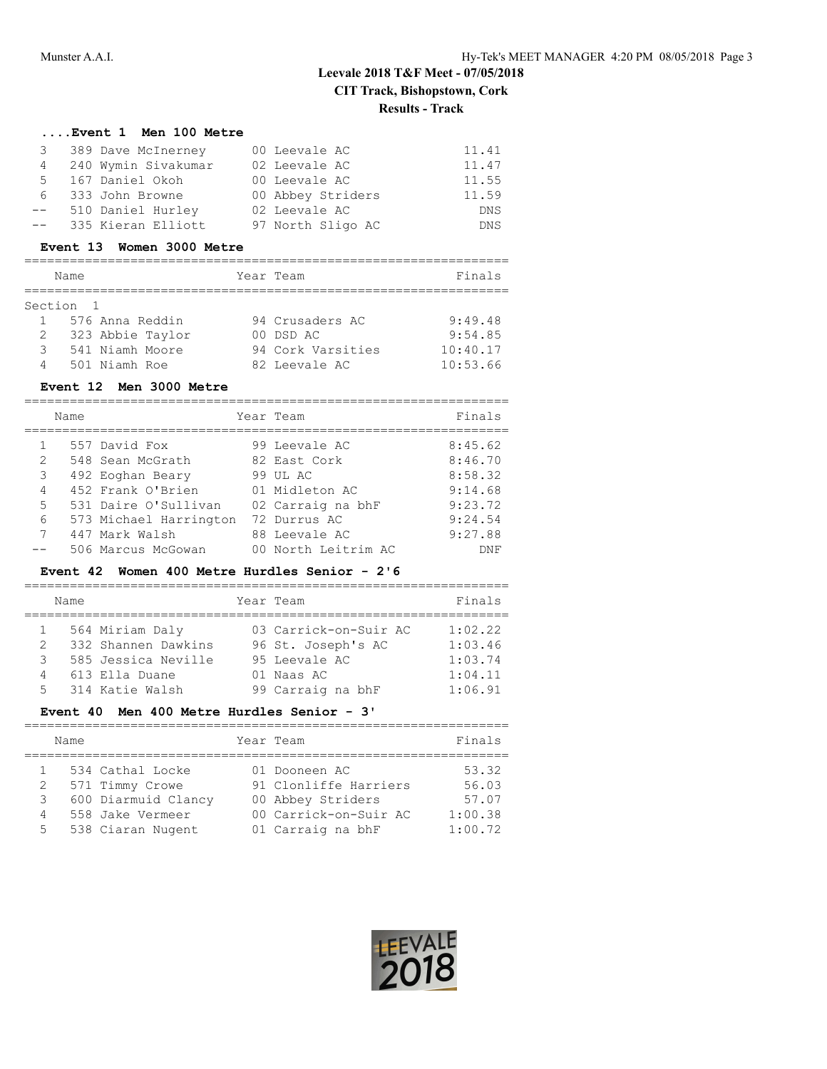# **Leevale 2018 T&F Meet - 07/05/2018 CIT Track, Bishopstown, Cork Results - Track**

### **....Event 1 Men 100 Metre**

|      | 3 389 Dave McInerney | 00 Leevale AC     | 11.41      |
|------|----------------------|-------------------|------------|
| 4    | 240 Wymin Sivakumar  | 02 Leevale AC     | 11.47      |
|      | 5 167 Daniel Okoh    | 00 Leevale AC     | 11.55      |
| 6    | 333 John Browne      | 00 Abbey Striders | 11.59      |
| $--$ | 510 Daniel Hurley    | 02 Leevale AC     | <b>DNS</b> |
| $--$ | 335 Kieran Elliott   | 97 North Sligo AC | <b>DNS</b> |
|      |                      |                   |            |

#### **Event 13 Women 3000 Metre**

|   | Name             | Year Team         | Finals   |
|---|------------------|-------------------|----------|
|   | Section 1        |                   |          |
|   | 576 Anna Reddin  | 94 Crusaders AC   | 9:49.48  |
| 2 | 323 Abbie Taylor | 00 DSD AC         | 9:54.85  |
| 3 | 541 Niamh Moore  | 94 Cork Varsities | 10:40.17 |
| 4 | 501 Niamh Roe    | 82 Leevale AC     | 10:53.66 |

## **Event 12 Men 3000 Metre**

|                | Name |                        | Year Team           | Finals  |
|----------------|------|------------------------|---------------------|---------|
| $\mathbf{1}$   |      | 557 David Fox          | 99 Leevale AC       | 8:45.62 |
| 2              |      | 548 Sean McGrath       | 82 East Cork        | 8:46.70 |
| 3              |      | 492 Eoghan Beary       | 99 UL AC            | 8:58.32 |
| $\overline{4}$ |      | 452 Frank O'Brien      | 01 Midleton AC      | 9:14.68 |
| $5 -$          |      | 531 Daire O'Sullivan   | 02 Carraig na bhF   | 9:23.72 |
| 6              |      | 573 Michael Harrington | 72 Durrus AC        | 9:24.54 |
| $7^{\circ}$    |      | 447 Mark Walsh         | 88 Leevale AC       | 9:27.88 |
|                |      | 506 Marcus McGowan     | 00 North Leitrim AC | DNF     |

## **Event 42 Women 400 Metre Hurdles Senior - 2'6**

|               | Name |                     | Year Team             | Finals  |
|---------------|------|---------------------|-----------------------|---------|
|               |      |                     |                       |         |
|               |      | 564 Miriam Daly     | 03 Carrick-on-Suir AC | 1:02.22 |
| $\mathcal{L}$ |      | 332 Shannen Dawkins | 96 St. Joseph's AC    | 1:03.46 |
| 3             |      | 585 Jessica Neville | 95 Leevale AC         | 1:03.74 |
| 4             |      | 613 Ella Duane      | 01 Naas AC            | 1:04.11 |
| 5.            |      | 314 Katie Walsh     | 99 Carraig na bhF     | 1:06.91 |

### **Event 40 Men 400 Metre Hurdles Senior - 3'**

| Year Team<br>Name                                                                                                                                                                                                                    | Finals                                        |
|--------------------------------------------------------------------------------------------------------------------------------------------------------------------------------------------------------------------------------------|-----------------------------------------------|
| 534 Cathal Locke<br>01 Dooneen AC<br>91 Clonliffe Harriers<br>571 Timmy Crowe<br>2<br>600 Diarmuid Clancy<br>00 Abbey Striders<br>3<br>00 Carrick-on-Suir AC<br>558 Jake Vermeer<br>4<br>538 Ciaran Nugent<br>01 Carraig na bhF<br>5 | 53.32<br>56.03<br>57.07<br>1:00.38<br>1:00.72 |